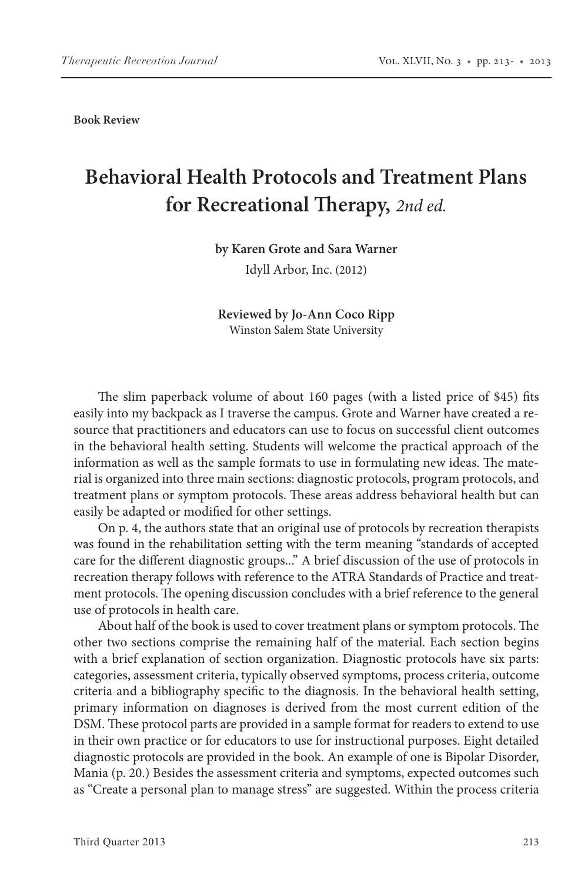**Book Review**

## **Behavioral Health Protocols and Treatment Plans for Recreational Therapy,** *2nd ed.*

## **by Karen Grote and Sara Warner**

Idyll Arbor, Inc. (2012)

## **Reviewed by Jo-Ann Coco Ripp** Winston Salem State University

The slim paperback volume of about 160 pages (with a listed price of \$45) fits easily into my backpack as I traverse the campus. Grote and Warner have created a resource that practitioners and educators can use to focus on successful client outcomes in the behavioral health setting. Students will welcome the practical approach of the information as well as the sample formats to use in formulating new ideas. The material is organized into three main sections: diagnostic protocols, program protocols, and treatment plans or symptom protocols. These areas address behavioral health but can easily be adapted or modified for other settings.

On p. 4, the authors state that an original use of protocols by recreation therapists was found in the rehabilitation setting with the term meaning "standards of accepted care for the different diagnostic groups..." A brief discussion of the use of protocols in recreation therapy follows with reference to the ATRA Standards of Practice and treatment protocols. The opening discussion concludes with a brief reference to the general use of protocols in health care.

About half of the book is used to cover treatment plans or symptom protocols. The other two sections comprise the remaining half of the material. Each section begins with a brief explanation of section organization. Diagnostic protocols have six parts: categories, assessment criteria, typically observed symptoms, process criteria, outcome criteria and a bibliography specific to the diagnosis. In the behavioral health setting, primary information on diagnoses is derived from the most current edition of the DSM. These protocol parts are provided in a sample format for readers to extend to use in their own practice or for educators to use for instructional purposes. Eight detailed diagnostic protocols are provided in the book. An example of one is Bipolar Disorder, Mania (p. 20.) Besides the assessment criteria and symptoms, expected outcomes such as "Create a personal plan to manage stress" are suggested. Within the process criteria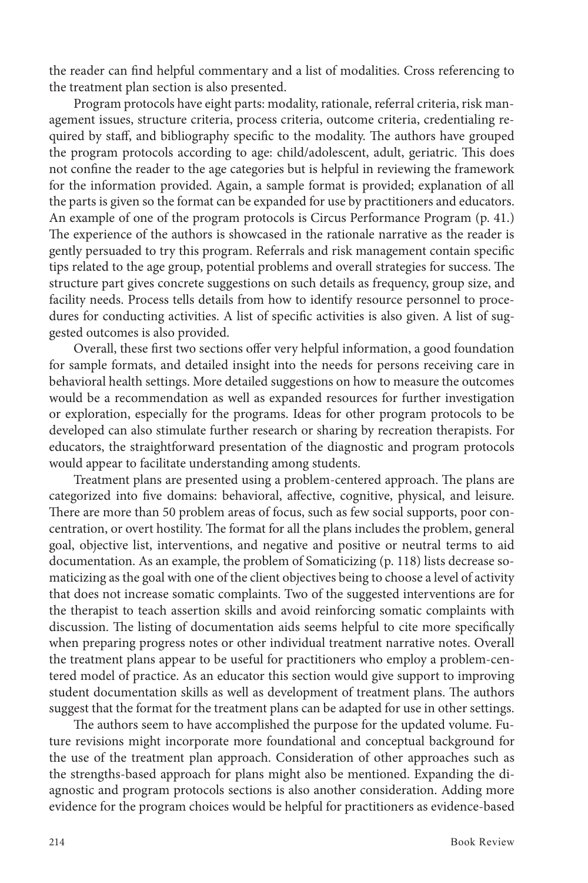the reader can find helpful commentary and a list of modalities. Cross referencing to the treatment plan section is also presented.

Program protocols have eight parts: modality, rationale, referral criteria, risk management issues, structure criteria, process criteria, outcome criteria, credentialing required by staff, and bibliography specific to the modality. The authors have grouped the program protocols according to age: child/adolescent, adult, geriatric. This does not confine the reader to the age categories but is helpful in reviewing the framework for the information provided. Again, a sample format is provided; explanation of all the parts is given so the format can be expanded for use by practitioners and educators. An example of one of the program protocols is Circus Performance Program (p. 41.) The experience of the authors is showcased in the rationale narrative as the reader is gently persuaded to try this program. Referrals and risk management contain specific tips related to the age group, potential problems and overall strategies for success. The structure part gives concrete suggestions on such details as frequency, group size, and facility needs. Process tells details from how to identify resource personnel to procedures for conducting activities. A list of specific activities is also given. A list of suggested outcomes is also provided.

Overall, these first two sections offer very helpful information, a good foundation for sample formats, and detailed insight into the needs for persons receiving care in behavioral health settings. More detailed suggestions on how to measure the outcomes would be a recommendation as well as expanded resources for further investigation or exploration, especially for the programs. Ideas for other program protocols to be developed can also stimulate further research or sharing by recreation therapists. For educators, the straightforward presentation of the diagnostic and program protocols would appear to facilitate understanding among students.

Treatment plans are presented using a problem-centered approach. The plans are categorized into five domains: behavioral, affective, cognitive, physical, and leisure. There are more than 50 problem areas of focus, such as few social supports, poor concentration, or overt hostility. The format for all the plans includes the problem, general goal, objective list, interventions, and negative and positive or neutral terms to aid documentation. As an example, the problem of Somaticizing (p. 118) lists decrease somaticizing as the goal with one of the client objectives being to choose a level of activity that does not increase somatic complaints. Two of the suggested interventions are for the therapist to teach assertion skills and avoid reinforcing somatic complaints with discussion. The listing of documentation aids seems helpful to cite more specifically when preparing progress notes or other individual treatment narrative notes. Overall the treatment plans appear to be useful for practitioners who employ a problem-centered model of practice. As an educator this section would give support to improving student documentation skills as well as development of treatment plans. The authors suggest that the format for the treatment plans can be adapted for use in other settings.

The authors seem to have accomplished the purpose for the updated volume. Future revisions might incorporate more foundational and conceptual background for the use of the treatment plan approach. Consideration of other approaches such as the strengths-based approach for plans might also be mentioned. Expanding the diagnostic and program protocols sections is also another consideration. Adding more evidence for the program choices would be helpful for practitioners as evidence-based